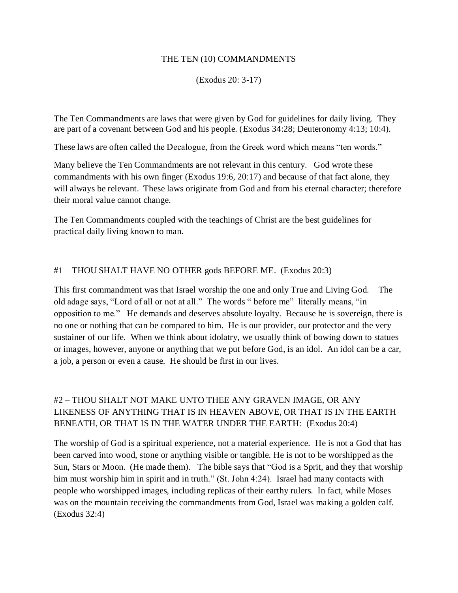#### THE TEN (10) COMMANDMENTS

(Exodus 20: 3-17)

The Ten Commandments are laws that were given by God for guidelines for daily living. They are part of a covenant between God and his people. (Exodus 34:28; Deuteronomy 4:13; 10:4).

These laws are often called the Decalogue, from the Greek word which means "ten words."

Many believe the Ten Commandments are not relevant in this century. God wrote these commandments with his own finger (Exodus 19:6, 20:17) and because of that fact alone, they will always be relevant. These laws originate from God and from his eternal character; therefore their moral value cannot change.

The Ten Commandments coupled with the teachings of Christ are the best guidelines for practical daily living known to man.

### #1 – THOU SHALT HAVE NO OTHER gods BEFORE ME. (Exodus 20:3)

This first commandment was that Israel worship the one and only True and Living God. The old adage says, "Lord of all or not at all." The words " before me" literally means, "in opposition to me." He demands and deserves absolute loyalty. Because he is sovereign, there is no one or nothing that can be compared to him. He is our provider, our protector and the very sustainer of our life. When we think about idolatry, we usually think of bowing down to statues or images, however, anyone or anything that we put before God, is an idol. An idol can be a car, a job, a person or even a cause. He should be first in our lives.

## #2 – THOU SHALT NOT MAKE UNTO THEE ANY GRAVEN IMAGE, OR ANY LIKENESS OF ANYTHING THAT IS IN HEAVEN ABOVE, OR THAT IS IN THE EARTH BENEATH, OR THAT IS IN THE WATER UNDER THE EARTH: (Exodus 20:4)

The worship of God is a spiritual experience, not a material experience. He is not a God that has been carved into wood, stone or anything visible or tangible. He is not to be worshipped as the Sun, Stars or Moon. (He made them). The bible says that "God is a Sprit, and they that worship him must worship him in spirit and in truth." (St. John 4:24). Israel had many contacts with people who worshipped images, including replicas of their earthy rulers. In fact, while Moses was on the mountain receiving the commandments from God, Israel was making a golden calf. (Exodus 32:4)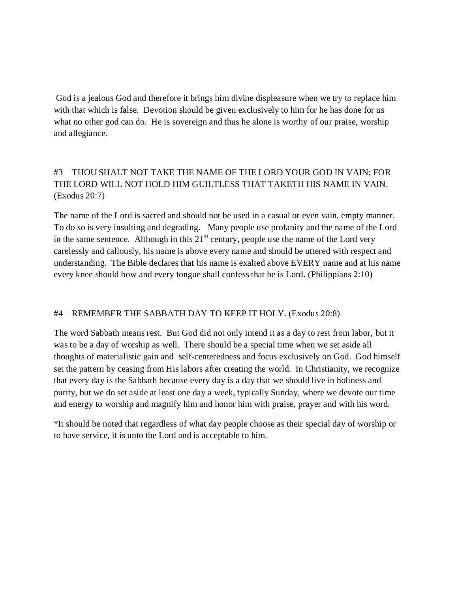God is a jealous God and therefore it brings him divine displeasure when we try to replace him with that which is false. Devotion should be given exclusively to him for he has done for us what no other god can do. He is sovereign and thus he alone is worthy of our praise, worship and allegiance.

# #3 – THOU SHALT NOT TAKE THE NAME OF THE LORD YOUR GOD IN VAIN; FOR THE LORD WILL NOT HOLD HIM GUILTLESS THAT TAKETH HIS NAME IN VAIN. (Exodus 20:7)

The name of the Lord is sacred and should not be used in a casual or even vain, empty manner. To do so is very insulting and degrading. Many people use profanity and the name of the Lord in the same sentence. Although in this  $21<sup>st</sup>$  century, people use the name of the Lord very carelessly and callously, his name is above every name and should be uttered with respect and understanding. The Bible declares that his name is exalted above EVERY name and at his name every knee should bow and every tongue shall confess that he is Lord. (Philippians 2:10)

## #4 – REMEMBER THE SABBATH DAY TO KEEP IT HOLY. (Exodus 20:8)

The word Sabbath means rest. But God did not only intend it as a day to rest from labor, but it was to be a day of worship as well. There should be a special time when we set aside all thoughts of materialistic gain and self-centeredness and focus exclusively on God. God himself set the pattern by ceasing from His labors after creating the world. In Christianity, we recognize that every day is the Sabbath because every day is a day that we should live in holiness and purity, but we do set aside at least one day a week, typically Sunday, where we devote our time and energy to worship and magnify him and honor him with praise, prayer and with his word.

\*It should be noted that regardless of what day people choose as their special day of worship or to have service, it is unto the Lord and is acceptable to him.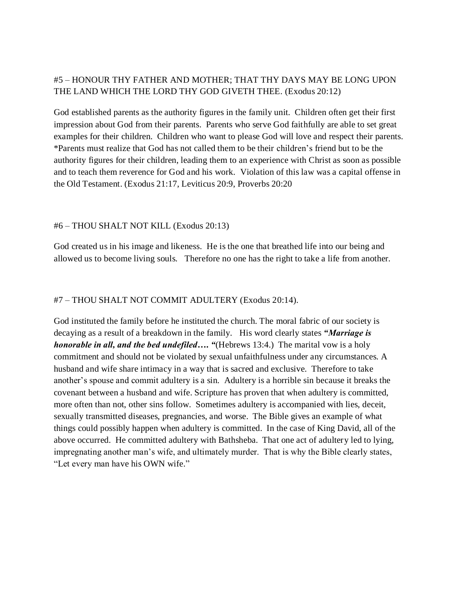### #5 – HONOUR THY FATHER AND MOTHER; THAT THY DAYS MAY BE LONG UPON THE LAND WHICH THE LORD THY GOD GIVETH THEE. (Exodus 20:12)

God established parents as the authority figures in the family unit. Children often get their first impression about God from their parents. Parents who serve God faithfully are able to set great examples for their children. Children who want to please God will love and respect their parents. \*Parents must realize that God has not called them to be their children's friend but to be the authority figures for their children, leading them to an experience with Christ as soon as possible and to teach them reverence for God and his work. Violation of this law was a capital offense in the Old Testament. (Exodus 21:17, Leviticus 20:9, Proverbs 20:20

#### #6 – THOU SHALT NOT KILL (Exodus 20:13)

God created us in his image and likeness. He is the one that breathed life into our being and allowed us to become living souls. Therefore no one has the right to take a life from another.

### #7 – THOU SHALT NOT COMMIT ADULTERY (Exodus 20:14).

God instituted the family before he instituted the church. The moral fabric of our society is decaying as a result of a breakdown in the family. His word clearly states *"Marriage is honorable in all, and the bed undefiled....* "(Hebrews 13:4.) The marital vow is a holy commitment and should not be violated by sexual unfaithfulness under any circumstances. A husband and wife share intimacy in a way that is sacred and exclusive. Therefore to take another's spouse and commit adultery is a sin. Adultery is a horrible sin because it breaks the covenant between a husband and wife. Scripture has proven that when adultery is committed, more often than not, other sins follow. Sometimes adultery is accompanied with lies, deceit, sexually transmitted diseases, pregnancies, and worse. The Bible gives an example of what things could possibly happen when adultery is committed. In the case of King David, all of the above occurred. He committed adultery with Bathsheba. That one act of adultery led to lying, impregnating another man's wife, and ultimately murder. That is why the Bible clearly states, "Let every man have his OWN wife."